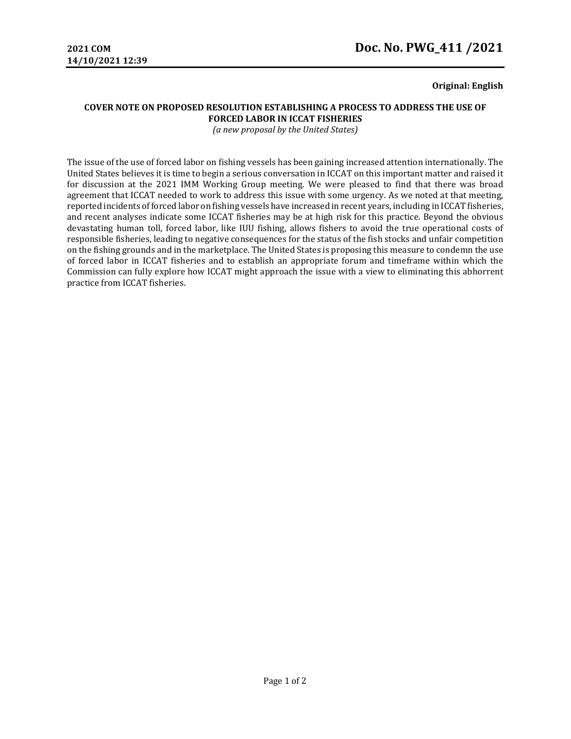### **Original: English**

# **COVER NOTE ON PROPOSED RESOLUTION ESTABLISHING A PROCESS TO ADDRESS THE USE OF FORCED LABOR IN ICCAT FISHERIES**

*(a new proposal by the United States)*

The issue of the use of forced labor on fishing vessels has been gaining increased attention internationally. The United States believes it is time to begin a serious conversation in ICCAT on this important matter and raised it for discussion at the 2021 IMM Working Group meeting. We were pleased to find that there was broad agreement that ICCAT needed to work to address this issue with some urgency. As we noted at that meeting, reported incidents of forced labor on fishing vessels have increased in recent years, including in ICCAT fisheries, and recent analyses indicate some ICCAT fisheries may be at high risk for this practice. Beyond the obvious devastating human toll, forced labor, like IUU fishing, allows fishers to avoid the true operational costs of responsible fisheries, leading to negative consequences for the status of the fish stocks and unfair competition on the fishing grounds and in the marketplace. The United States is proposing this measure to condemn the use of forced labor in ICCAT fisheries and to establish an appropriate forum and timeframe within which the Commission can fully explore how ICCAT might approach the issue with a view to eliminating this abhorrent practice from ICCAT fisheries.